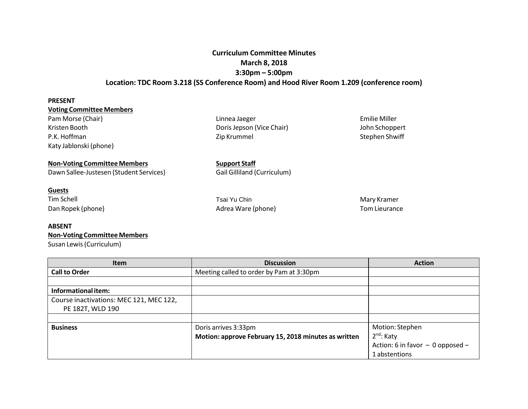## **Curriculum Committee Minutes March 8, 2018 3:30pm – 5:00pm Location: TDC Room 3.218 (SS Conference Room) and Hood River Room 1.209 (conference room)**

| <b>PRESENT</b>                          |                                    |                      |  |
|-----------------------------------------|------------------------------------|----------------------|--|
| <b>Voting Committee Members</b>         |                                    |                      |  |
| Pam Morse (Chair)                       | Linnea Jaeger                      | Emilie Miller        |  |
| Kristen Booth                           | Doris Jepson (Vice Chair)          | John Schoppert       |  |
| P.K. Hoffman                            | Zip Krummel                        | Stephen Shwiff       |  |
| Katy Jablonski (phone)                  |                                    |                      |  |
| <b>Non-Voting Committee Members</b>     | <b>Support Staff</b>               |                      |  |
| Dawn Sallee-Justesen (Student Services) | <b>Gail Gilliland (Curriculum)</b> |                      |  |
| <b>Guests</b>                           |                                    |                      |  |
| <b>Tim Schell</b>                       | Tsai Yu Chin                       | Mary Kramer          |  |
| Dan Ropek (phone)                       | Adrea Ware (phone)                 | <b>Tom Lieurance</b> |  |
| <b>ABSENT</b>                           |                                    |                      |  |
| <b>Non-Voting Committee Members</b>     |                                    |                      |  |

Susan Lewis(Curriculum)

| <b>Item</b>                             | <b>Discussion</b>                                    | <b>Action</b>                        |
|-----------------------------------------|------------------------------------------------------|--------------------------------------|
| <b>Call to Order</b>                    | Meeting called to order by Pam at 3:30pm             |                                      |
|                                         |                                                      |                                      |
| Informational item:                     |                                                      |                                      |
| Course inactivations: MEC 121, MEC 122, |                                                      |                                      |
| PE 182T, WLD 190                        |                                                      |                                      |
|                                         |                                                      |                                      |
| <b>Business</b>                         | Doris arrives 3:33pm                                 | Motion: Stephen                      |
|                                         | Motion: approve February 15, 2018 minutes as written | $2nd$ : Katy                         |
|                                         |                                                      | Action: 6 in favor $-$ 0 opposed $-$ |
|                                         |                                                      | 1 abstentions                        |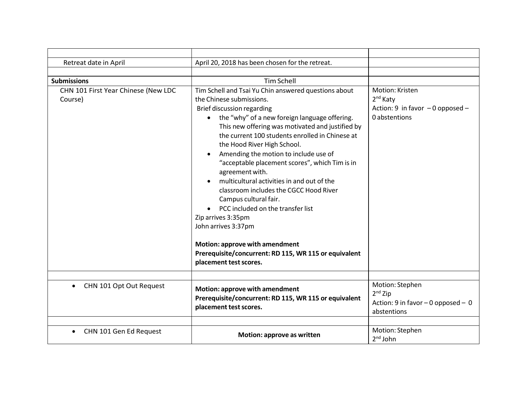| Retreat date in April                          | April 20, 2018 has been chosen for the retreat.                                                                                                                                                                                                                                                                                                                                                                                                                                                                                                                                                                                                                                                                                                          |                                                                                              |
|------------------------------------------------|----------------------------------------------------------------------------------------------------------------------------------------------------------------------------------------------------------------------------------------------------------------------------------------------------------------------------------------------------------------------------------------------------------------------------------------------------------------------------------------------------------------------------------------------------------------------------------------------------------------------------------------------------------------------------------------------------------------------------------------------------------|----------------------------------------------------------------------------------------------|
|                                                |                                                                                                                                                                                                                                                                                                                                                                                                                                                                                                                                                                                                                                                                                                                                                          |                                                                                              |
| <b>Submissions</b>                             | <b>Tim Schell</b>                                                                                                                                                                                                                                                                                                                                                                                                                                                                                                                                                                                                                                                                                                                                        |                                                                                              |
| CHN 101 First Year Chinese (New LDC<br>Course) | Tim Schell and Tsai Yu Chin answered questions about<br>the Chinese submissions.<br>Brief discussion regarding<br>the "why" of a new foreign language offering.<br>$\bullet$<br>This new offering was motivated and justified by<br>the current 100 students enrolled in Chinese at<br>the Hood River High School.<br>Amending the motion to include use of<br>"acceptable placement scores", which Tim is in<br>agreement with.<br>multicultural activities in and out of the<br>classroom includes the CGCC Hood River<br>Campus cultural fair.<br>PCC included on the transfer list<br>Zip arrives 3:35pm<br>John arrives 3:37pm<br>Motion: approve with amendment<br>Prerequisite/concurrent: RD 115, WR 115 or equivalent<br>placement test scores. | Motion: Kristen<br>2 <sup>nd</sup> Katy<br>Action: 9 in favor - 0 opposed -<br>0 abstentions |
|                                                |                                                                                                                                                                                                                                                                                                                                                                                                                                                                                                                                                                                                                                                                                                                                                          |                                                                                              |
| CHN 101 Opt Out Request<br>$\bullet$           | Motion: approve with amendment<br>Prerequisite/concurrent: RD 115, WR 115 or equivalent<br>placement test scores.                                                                                                                                                                                                                                                                                                                                                                                                                                                                                                                                                                                                                                        | Motion: Stephen<br>$2nd$ Zip<br>Action: 9 in favor $-$ 0 opposed $-$ 0<br>abstentions        |
| CHN 101 Gen Ed Request<br>$\bullet$            | Motion: approve as written                                                                                                                                                                                                                                                                                                                                                                                                                                                                                                                                                                                                                                                                                                                               | Motion: Stephen<br>$2nd$ John                                                                |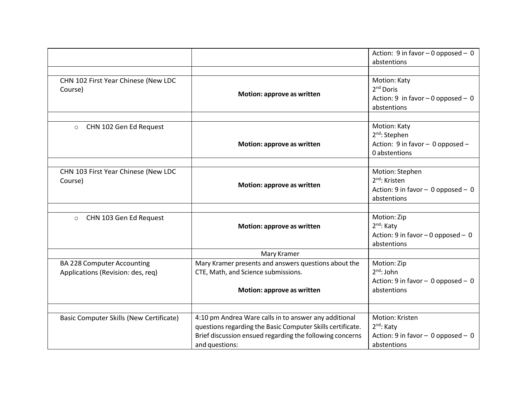|                                                |                                                            | Action: 9 in favor $-$ 0 opposed $-$ 0 |
|------------------------------------------------|------------------------------------------------------------|----------------------------------------|
|                                                |                                                            | abstentions                            |
|                                                |                                                            |                                        |
| CHN 102 First Year Chinese (New LDC            |                                                            | Motion: Katy                           |
| Course)                                        | Motion: approve as written                                 | 2 <sup>nd</sup> Doris                  |
|                                                |                                                            | Action: 9 in favor $-0$ opposed $-0$   |
|                                                |                                                            | abstentions                            |
|                                                |                                                            |                                        |
| CHN 102 Gen Ed Request<br>$\circ$              |                                                            | Motion: Katy                           |
|                                                |                                                            | $2nd$ : Stephen                        |
|                                                | Motion: approve as written                                 | Action: 9 in favor - 0 opposed -       |
|                                                |                                                            | 0 abstentions                          |
|                                                |                                                            |                                        |
| CHN 103 First Year Chinese (New LDC            |                                                            | Motion: Stephen                        |
| Course)                                        | Motion: approve as written                                 | 2 <sup>nd</sup> : Kristen              |
|                                                |                                                            | Action: 9 in favor - 0 opposed - 0     |
|                                                |                                                            | abstentions                            |
|                                                |                                                            |                                        |
| CHN 103 Gen Ed Request<br>$\circ$              |                                                            | Motion: Zip                            |
|                                                | Motion: approve as written                                 | 2 <sup>nd</sup> : Katy                 |
|                                                |                                                            | Action: 9 in favor $-$ 0 opposed $-$ 0 |
|                                                |                                                            | abstentions                            |
|                                                | Mary Kramer                                                |                                        |
| <b>BA 228 Computer Accounting</b>              | Mary Kramer presents and answers questions about the       | Motion: Zip                            |
| Applications (Revision: des, req)              | CTE, Math, and Science submissions.                        | $2^{nd}$ : John                        |
|                                                |                                                            | Action: 9 in favor - 0 opposed - 0     |
|                                                | Motion: approve as written                                 | abstentions                            |
|                                                |                                                            |                                        |
|                                                |                                                            |                                        |
| <b>Basic Computer Skills (New Certificate)</b> | 4:10 pm Andrea Ware calls in to answer any additional      | Motion: Kristen                        |
|                                                | questions regarding the Basic Computer Skills certificate. | 2 <sup>nd</sup> : Katy                 |
|                                                | Brief discussion ensued regarding the following concerns   | Action: 9 in favor $-$ 0 opposed $-$ 0 |
|                                                | and questions:                                             | abstentions                            |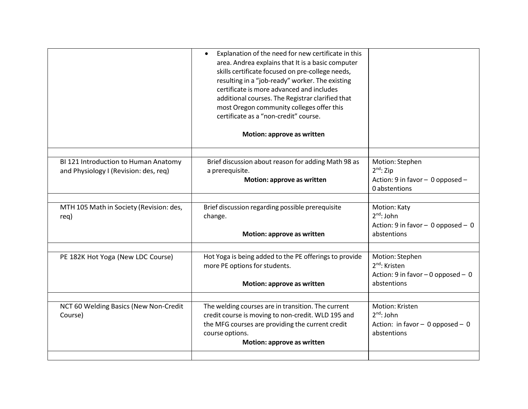|                                                                               | Explanation of the need for new certificate in this<br>$\bullet$<br>area. Andrea explains that It is a basic computer<br>skills certificate focused on pre-college needs,<br>resulting in a "job-ready" worker. The existing<br>certificate is more advanced and includes<br>additional courses. The Registrar clarified that<br>most Oregon community colleges offer this<br>certificate as a "non-credit" course.<br>Motion: approve as written |                                                   |
|-------------------------------------------------------------------------------|---------------------------------------------------------------------------------------------------------------------------------------------------------------------------------------------------------------------------------------------------------------------------------------------------------------------------------------------------------------------------------------------------------------------------------------------------|---------------------------------------------------|
|                                                                               |                                                                                                                                                                                                                                                                                                                                                                                                                                                   |                                                   |
| BI 121 Introduction to Human Anatomy<br>and Physiology I (Revision: des, req) | Brief discussion about reason for adding Math 98 as<br>a prerequisite.                                                                                                                                                                                                                                                                                                                                                                            | Motion: Stephen<br>$2nd$ : Zip                    |
|                                                                               | Motion: approve as written                                                                                                                                                                                                                                                                                                                                                                                                                        | Action: 9 in favor - 0 opposed -<br>0 abstentions |
|                                                                               |                                                                                                                                                                                                                                                                                                                                                                                                                                                   |                                                   |
| MTH 105 Math in Society (Revision: des,<br>req)                               | Brief discussion regarding possible prerequisite<br>change.                                                                                                                                                                                                                                                                                                                                                                                       | Motion: Katy<br>$2nd$ : John                      |
|                                                                               | Motion: approve as written                                                                                                                                                                                                                                                                                                                                                                                                                        | Action: 9 in favor - 0 opposed - 0<br>abstentions |
|                                                                               |                                                                                                                                                                                                                                                                                                                                                                                                                                                   |                                                   |
| PE 182K Hot Yoga (New LDC Course)                                             | Hot Yoga is being added to the PE offerings to provide                                                                                                                                                                                                                                                                                                                                                                                            | Motion: Stephen<br>2 <sup>nd</sup> : Kristen      |
|                                                                               | more PE options for students.                                                                                                                                                                                                                                                                                                                                                                                                                     | Action: 9 in favor - 0 opposed - 0                |
|                                                                               | Motion: approve as written                                                                                                                                                                                                                                                                                                                                                                                                                        | abstentions                                       |
|                                                                               |                                                                                                                                                                                                                                                                                                                                                                                                                                                   |                                                   |
| NCT 60 Welding Basics (New Non-Credit                                         | The welding courses are in transition. The current                                                                                                                                                                                                                                                                                                                                                                                                | Motion: Kristen<br>$2^{nd}$ : John                |
| Course)                                                                       | credit course is moving to non-credit. WLD 195 and<br>the MFG courses are providing the current credit                                                                                                                                                                                                                                                                                                                                            | Action: in favor $-$ 0 opposed $-$ 0              |
|                                                                               | course options.                                                                                                                                                                                                                                                                                                                                                                                                                                   | abstentions                                       |
|                                                                               | Motion: approve as written                                                                                                                                                                                                                                                                                                                                                                                                                        |                                                   |
|                                                                               |                                                                                                                                                                                                                                                                                                                                                                                                                                                   |                                                   |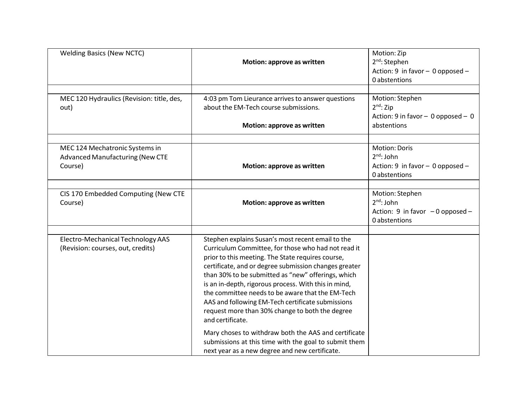| <b>Welding Basics (New NCTC)</b>                                                    | Motion: approve as written                                                                                                                                                                                                                                                                                                                                                                                                                                                                                                                                                                                                                                                              | Motion: Zip<br>2 <sup>nd</sup> : Stephen<br>Action: 9 in favor - 0 opposed -<br>0 abstentions |
|-------------------------------------------------------------------------------------|-----------------------------------------------------------------------------------------------------------------------------------------------------------------------------------------------------------------------------------------------------------------------------------------------------------------------------------------------------------------------------------------------------------------------------------------------------------------------------------------------------------------------------------------------------------------------------------------------------------------------------------------------------------------------------------------|-----------------------------------------------------------------------------------------------|
| MEC 120 Hydraulics (Revision: title, des,<br>out)                                   | 4:03 pm Tom Lieurance arrives to answer questions<br>about the EM-Tech course submissions.<br>Motion: approve as written                                                                                                                                                                                                                                                                                                                                                                                                                                                                                                                                                                | Motion: Stephen<br>$2nd$ : Zip<br>Action: 9 in favor - 0 opposed - 0<br>abstentions           |
| MEC 124 Mechatronic Systems in<br><b>Advanced Manufacturing (New CTE</b><br>Course) | Motion: approve as written                                                                                                                                                                                                                                                                                                                                                                                                                                                                                                                                                                                                                                                              | Motion: Doris<br>$2nd$ : John<br>Action: 9 in favor - 0 opposed -<br>0 abstentions            |
| CIS 170 Embedded Computing (New CTE<br>Course)                                      | Motion: approve as written                                                                                                                                                                                                                                                                                                                                                                                                                                                                                                                                                                                                                                                              | Motion: Stephen<br>$2^{nd}$ : John<br>Action: 9 in favor $-0$ opposed -<br>0 abstentions      |
| Electro-Mechanical Technology AAS<br>(Revision: courses, out, credits)              | Stephen explains Susan's most recent email to the<br>Curriculum Committee, for those who had not read it<br>prior to this meeting. The State requires course,<br>certificate, and or degree submission changes greater<br>than 30% to be submitted as "new" offerings, which<br>is an in-depth, rigorous process. With this in mind,<br>the committee needs to be aware that the EM-Tech<br>AAS and following EM-Tech certificate submissions<br>request more than 30% change to both the degree<br>and certificate.<br>Mary choses to withdraw both the AAS and certificate<br>submissions at this time with the goal to submit them<br>next year as a new degree and new certificate. |                                                                                               |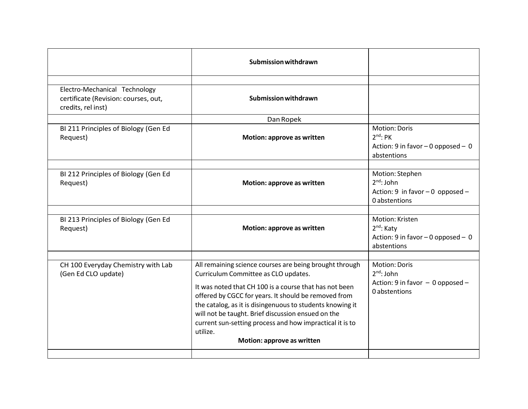|                                                                                             | <b>Submission withdrawn</b>                                                                                                                                                                                                                                                                                                                                                                                                                |                                                                                              |
|---------------------------------------------------------------------------------------------|--------------------------------------------------------------------------------------------------------------------------------------------------------------------------------------------------------------------------------------------------------------------------------------------------------------------------------------------------------------------------------------------------------------------------------------------|----------------------------------------------------------------------------------------------|
| Electro-Mechanical Technology<br>certificate (Revision: courses, out,<br>credits, rel inst) | <b>Submission withdrawn</b>                                                                                                                                                                                                                                                                                                                                                                                                                |                                                                                              |
|                                                                                             | Dan Ropek                                                                                                                                                                                                                                                                                                                                                                                                                                  | <b>Motion: Doris</b>                                                                         |
| BI 211 Principles of Biology (Gen Ed<br>Request)                                            | Motion: approve as written                                                                                                                                                                                                                                                                                                                                                                                                                 | $2^{nd}$ : PK<br>Action: 9 in favor $-0$ opposed $-0$<br>abstentions                         |
|                                                                                             |                                                                                                                                                                                                                                                                                                                                                                                                                                            |                                                                                              |
| BI 212 Principles of Biology (Gen Ed<br>Request)                                            | Motion: approve as written                                                                                                                                                                                                                                                                                                                                                                                                                 | Motion: Stephen<br>$2^{nd}$ : John<br>Action: 9 in favor $-0$ opposed $-$<br>0 abstentions   |
|                                                                                             |                                                                                                                                                                                                                                                                                                                                                                                                                                            |                                                                                              |
| BI 213 Principles of Biology (Gen Ed<br>Request)                                            | Motion: approve as written                                                                                                                                                                                                                                                                                                                                                                                                                 | Motion: Kristen<br>$2nd$ : Katy<br>Action: 9 in favor $-0$ opposed $-0$<br>abstentions       |
|                                                                                             |                                                                                                                                                                                                                                                                                                                                                                                                                                            |                                                                                              |
| CH 100 Everyday Chemistry with Lab<br>(Gen Ed CLO update)                                   | All remaining science courses are being brought through<br>Curriculum Committee as CLO updates.<br>It was noted that CH 100 is a course that has not been<br>offered by CGCC for years. It should be removed from<br>the catalog, as it is disingenuous to students knowing it<br>will not be taught. Brief discussion ensued on the<br>current sun-setting process and how impractical it is to<br>utilize.<br>Motion: approve as written | <b>Motion: Doris</b><br>$2^{nd}$ : John<br>Action: 9 in favor - 0 opposed -<br>0 abstentions |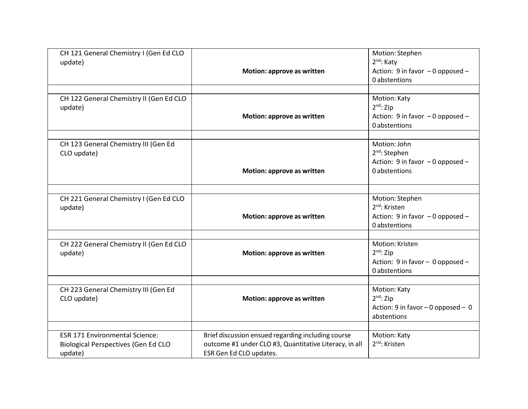| CH 121 General Chemistry I (Gen Ed CLO<br>update)                                              | Motion: approve as written                                                                                                              | Motion: Stephen<br>2 <sup>nd</sup> : Katy<br>Action: 9 in favor - 0 opposed -<br>0 abstentions    |
|------------------------------------------------------------------------------------------------|-----------------------------------------------------------------------------------------------------------------------------------------|---------------------------------------------------------------------------------------------------|
| CH 122 General Chemistry II (Gen Ed CLO<br>update)                                             | Motion: approve as written                                                                                                              | Motion: Katy<br>$2nd$ : Zip<br>Action: 9 in favor - 0 opposed -<br>0 abstentions                  |
| CH 123 General Chemistry III (Gen Ed<br>CLO update)                                            | Motion: approve as written                                                                                                              | Motion: John<br>$2nd$ : Stephen<br>Action: 9 in favor - 0 opposed -<br>0 abstentions              |
| CH 221 General Chemistry I (Gen Ed CLO<br>update)                                              | Motion: approve as written                                                                                                              | Motion: Stephen<br>2 <sup>nd</sup> : Kristen<br>Action: 9 in favor - 0 opposed -<br>0 abstentions |
| CH 222 General Chemistry II (Gen Ed CLO<br>update)                                             | Motion: approve as written                                                                                                              | Motion: Kristen<br>$2^{nd}$ : Zip<br>Action: 9 in favor - 0 opposed -<br>0 abstentions            |
| CH 223 General Chemistry III (Gen Ed<br>CLO update)                                            | Motion: approve as written                                                                                                              | Motion: Katy<br>$2nd$ : Zip<br>Action: 9 in favor $-0$ opposed $-0$<br>abstentions                |
| <b>ESR 171 Environmental Science:</b><br><b>Biological Perspectives (Gen Ed CLO</b><br>update) | Brief discussion ensued regarding including course<br>outcome #1 under CLO #3, Quantitative Literacy, in all<br>ESR Gen Ed CLO updates. | Motion: Katy<br>2 <sup>nd</sup> : Kristen                                                         |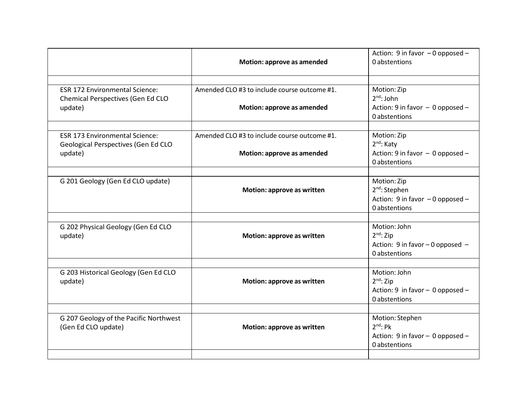| Motion: approve as amended                                                 | Action: 9 in favor - 0 opposed -<br>0 abstentions                                             |
|----------------------------------------------------------------------------|-----------------------------------------------------------------------------------------------|
| Amended CLO #3 to include course outcome #1.<br>Motion: approve as amended | Motion: Zip<br>$2^{nd}$ : John<br>Action: 9 in favor - 0 opposed -<br>0 abstentions           |
| Amended CLO #3 to include course outcome #1.<br>Motion: approve as amended | Motion: Zip<br>2 <sup>nd</sup> : Katy<br>Action: 9 in favor - 0 opposed -<br>0 abstentions    |
| Motion: approve as written                                                 | Motion: Zip<br>2 <sup>nd</sup> : Stephen<br>Action: 9 in favor - 0 opposed -<br>0 abstentions |
| Motion: approve as written                                                 | Motion: John<br>$2nd$ : Zip<br>Action: 9 in favor - 0 opposed -<br>0 abstentions              |
| Motion: approve as written                                                 | Motion: John<br>$2^{nd}$ : Zip<br>Action: 9 in favor - 0 opposed -<br>0 abstentions           |
| Motion: approve as written                                                 | Motion: Stephen<br>$2^{nd}$ : Pk<br>Action: 9 in favor - 0 opposed -<br>0 abstentions         |
|                                                                            |                                                                                               |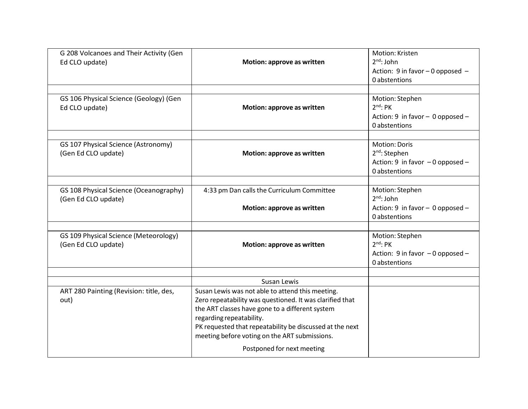| G 208 Volcanoes and Their Activity (Gen<br>Ed CLO update)     | Motion: approve as written                                                                                                                                                                                                                                                                                                             | Motion: Kristen<br>$2nd$ : John<br>Action: 9 in favor - 0 opposed -<br>0 abstentions            |
|---------------------------------------------------------------|----------------------------------------------------------------------------------------------------------------------------------------------------------------------------------------------------------------------------------------------------------------------------------------------------------------------------------------|-------------------------------------------------------------------------------------------------|
| GS 106 Physical Science (Geology) (Gen<br>Ed CLO update)      | Motion: approve as written                                                                                                                                                                                                                                                                                                             | Motion: Stephen<br>$2^{nd}$ : PK<br>Action: 9 in favor - 0 opposed -<br>0 abstentions           |
| GS 107 Physical Science (Astronomy)<br>(Gen Ed CLO update)    | Motion: approve as written                                                                                                                                                                                                                                                                                                             | Motion: Doris<br>2 <sup>nd</sup> : Stephen<br>Action: 9 in favor - 0 opposed -<br>0 abstentions |
| GS 108 Physical Science (Oceanography)<br>(Gen Ed CLO update) | 4:33 pm Dan calls the Curriculum Committee<br>Motion: approve as written                                                                                                                                                                                                                                                               | Motion: Stephen<br>$2^{nd}$ : John<br>Action: 9 in favor - 0 opposed -<br>0 abstentions         |
| GS 109 Physical Science (Meteorology)<br>(Gen Ed CLO update)  | Motion: approve as written                                                                                                                                                                                                                                                                                                             | Motion: Stephen<br>$2^{nd}$ : PK<br>Action: 9 in favor - 0 opposed -<br>0 abstentions           |
|                                                               | Susan Lewis                                                                                                                                                                                                                                                                                                                            |                                                                                                 |
| ART 280 Painting (Revision: title, des,<br>out)               | Susan Lewis was not able to attend this meeting.<br>Zero repeatability was questioned. It was clarified that<br>the ART classes have gone to a different system<br>regarding repeatability.<br>PK requested that repeatability be discussed at the next<br>meeting before voting on the ART submissions.<br>Postponed for next meeting |                                                                                                 |